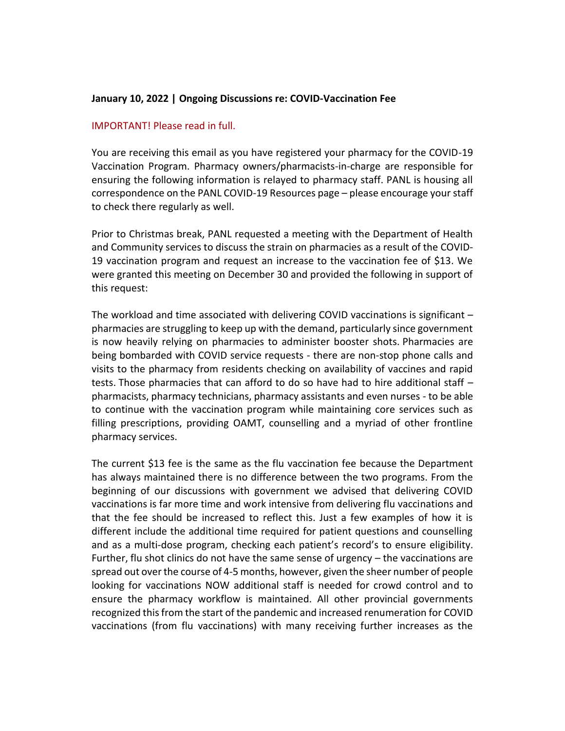## **January 10, 2022 | Ongoing Discussions re: COVID-Vaccination Fee**

## IMPORTANT! Please read in full.

You are receiving this email as you have registered your pharmacy for the COVID-19 Vaccination Program. Pharmacy owners/pharmacists-in-charge are responsible for ensuring the following information is relayed to pharmacy staff. PANL is housing all correspondence on the PANL COVID-19 Resources page – please encourage your staff to check there regularly as well.

Prior to Christmas break, PANL requested a meeting with the Department of Health and Community services to discuss the strain on pharmacies as a result of the COVID-19 vaccination program and request an increase to the vaccination fee of \$13. We were granted this meeting on December 30 and provided the following in support of this request:

The workload and time associated with delivering COVID vaccinations is significant – pharmacies are struggling to keep up with the demand, particularly since government is now heavily relying on pharmacies to administer booster shots. Pharmacies are being bombarded with COVID service requests - there are non-stop phone calls and visits to the pharmacy from residents checking on availability of vaccines and rapid tests. Those pharmacies that can afford to do so have had to hire additional staff – pharmacists, pharmacy technicians, pharmacy assistants and even nurses - to be able to continue with the vaccination program while maintaining core services such as filling prescriptions, providing OAMT, counselling and a myriad of other frontline pharmacy services.

The current \$13 fee is the same as the flu vaccination fee because the Department has always maintained there is no difference between the two programs. From the beginning of our discussions with government we advised that delivering COVID vaccinations is far more time and work intensive from delivering flu vaccinations and that the fee should be increased to reflect this. Just a few examples of how it is different include the additional time required for patient questions and counselling and as a multi-dose program, checking each patient's record's to ensure eligibility. Further, flu shot clinics do not have the same sense of urgency – the vaccinations are spread out over the course of 4-5 months, however, given the sheer number of people looking for vaccinations NOW additional staff is needed for crowd control and to ensure the pharmacy workflow is maintained. All other provincial governments recognized this from the start of the pandemic and increased renumeration for COVID vaccinations (from flu vaccinations) with many receiving further increases as the